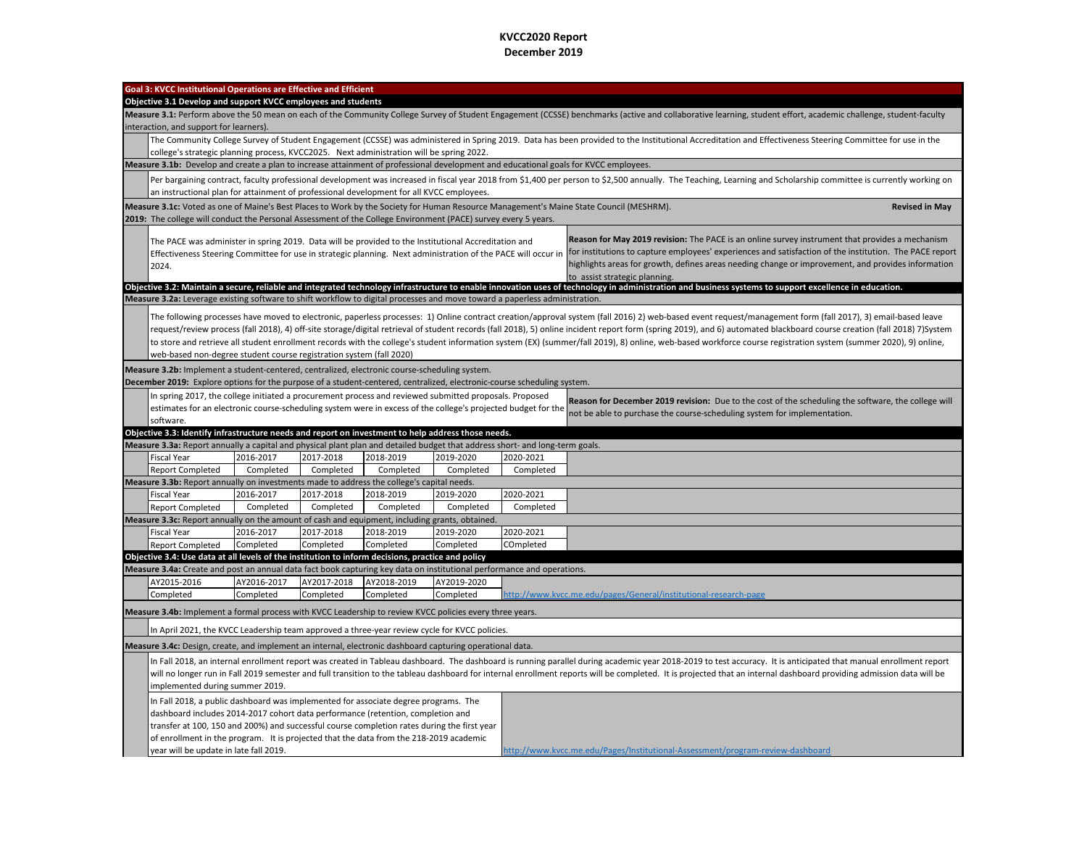## **KVCC2020 Report December 2019**

| Goal 3: KVCC Institutional Operations are Effective and Efficient<br>Objective 3.1 Develop and support KVCC employees and students                                                                                                                                                                                                                                                                                                                                                                                                                                                                                                                                                                                                |             |             |             |             |           |                                                                                                                                                                                                           |  |
|-----------------------------------------------------------------------------------------------------------------------------------------------------------------------------------------------------------------------------------------------------------------------------------------------------------------------------------------------------------------------------------------------------------------------------------------------------------------------------------------------------------------------------------------------------------------------------------------------------------------------------------------------------------------------------------------------------------------------------------|-------------|-------------|-------------|-------------|-----------|-----------------------------------------------------------------------------------------------------------------------------------------------------------------------------------------------------------|--|
| Measure 3.1: Perform above the 50 mean on each of the Community College Survey of Student Engagement (CCSSE) benchmarks (active and collaborative learning, student effort, academic challenge, student-faculty                                                                                                                                                                                                                                                                                                                                                                                                                                                                                                                   |             |             |             |             |           |                                                                                                                                                                                                           |  |
| interaction, and support for learners).                                                                                                                                                                                                                                                                                                                                                                                                                                                                                                                                                                                                                                                                                           |             |             |             |             |           |                                                                                                                                                                                                           |  |
|                                                                                                                                                                                                                                                                                                                                                                                                                                                                                                                                                                                                                                                                                                                                   |             |             |             |             |           | The Community College Survey of Student Engagement (CCSSE) was administered in Spring 2019. Data has been provided to the Institutional Accreditation and Effectiveness Steering Committee for use in the |  |
| college's strategic planning process, KVCC2025. Next administration will be spring 2022.                                                                                                                                                                                                                                                                                                                                                                                                                                                                                                                                                                                                                                          |             |             |             |             |           |                                                                                                                                                                                                           |  |
| Measure 3.1b: Develop and create a plan to increase attainment of professional development and educational goals for KVCC employees.                                                                                                                                                                                                                                                                                                                                                                                                                                                                                                                                                                                              |             |             |             |             |           |                                                                                                                                                                                                           |  |
| Per bargaining contract, faculty professional development was increased in fiscal year 2018 from \$1,400 per person to \$2,500 annually. The Teaching, Learning and Scholarship committee is currently working on<br>an instructional plan for attainment of professional development for all KVCC employees.                                                                                                                                                                                                                                                                                                                                                                                                                     |             |             |             |             |           |                                                                                                                                                                                                           |  |
| Measure 3.1c: Voted as one of Maine's Best Places to Work by the Society for Human Resource Management's Maine State Council (MESHRM).<br><b>Revised in May</b>                                                                                                                                                                                                                                                                                                                                                                                                                                                                                                                                                                   |             |             |             |             |           |                                                                                                                                                                                                           |  |
| 2019: The college will conduct the Personal Assessment of the College Environment (PACE) survey every 5 years.                                                                                                                                                                                                                                                                                                                                                                                                                                                                                                                                                                                                                    |             |             |             |             |           |                                                                                                                                                                                                           |  |
| Reason for May 2019 revision: The PACE is an online survey instrument that provides a mechanism<br>The PACE was administer in spring 2019. Data will be provided to the Institutional Accreditation and<br>for institutions to capture employees' experiences and satisfaction of the institution. The PACE report<br>Effectiveness Steering Committee for use in strategic planning. Next administration of the PACE will occur in<br>highlights areas for growth, defines areas needing change or improvement, and provides information<br>2024.<br>to assist strategic planning.                                                                                                                                               |             |             |             |             |           |                                                                                                                                                                                                           |  |
| Objective 3.2: Maintain a secure, reliable and integrated technology infrastructure to enable innovation uses of technology in administration and business systems to support excellence in education.                                                                                                                                                                                                                                                                                                                                                                                                                                                                                                                            |             |             |             |             |           |                                                                                                                                                                                                           |  |
| Measure 3.2a: Leverage existing software to shift workflow to digital processes and move toward a paperless administration.                                                                                                                                                                                                                                                                                                                                                                                                                                                                                                                                                                                                       |             |             |             |             |           |                                                                                                                                                                                                           |  |
| The following processes have moved to electronic, paperless processes: 1) Online contract creation/approval system (fall 2016) 2) web-based event request/management form (fall 2017), 3) email-based leave<br>request/review process (fall 2018), 4) off-site storage/digital retrieval of student records (fall 2018), 5) online incident report form (spring 2019), and 6) automated blackboard course creation (fall 2018) 7)System<br>to store and retrieve all student enrollment records with the college's student information system (EX) (summer/fall 2019), 8) online, web-based workforce course registration system (summer 2020), 9) online,<br>web-based non-degree student course registration system (fall 2020) |             |             |             |             |           |                                                                                                                                                                                                           |  |
| Measure 3.2b: Implement a student-centered, centralized, electronic course-scheduling system.                                                                                                                                                                                                                                                                                                                                                                                                                                                                                                                                                                                                                                     |             |             |             |             |           |                                                                                                                                                                                                           |  |
| December 2019: Explore options for the purpose of a student-centered, centralized, electronic-course scheduling system.                                                                                                                                                                                                                                                                                                                                                                                                                                                                                                                                                                                                           |             |             |             |             |           |                                                                                                                                                                                                           |  |
| In spring 2017, the college initiated a procurement process and reviewed submitted proposals. Proposed<br>Reason for December 2019 revision: Due to the cost of the scheduling the software, the college will<br>estimates for an electronic course-scheduling system were in excess of the college's projected budget for the<br>not be able to purchase the course-scheduling system for implementation.<br>software.                                                                                                                                                                                                                                                                                                           |             |             |             |             |           |                                                                                                                                                                                                           |  |
| Objective 3.3: Identify infrastructure needs and report on investment to help address those needs.                                                                                                                                                                                                                                                                                                                                                                                                                                                                                                                                                                                                                                |             |             |             |             |           |                                                                                                                                                                                                           |  |
| Measure 3.3a: Report annually a capital and physical plant plan and detailed budget that address short- and long-term goals.                                                                                                                                                                                                                                                                                                                                                                                                                                                                                                                                                                                                      |             |             |             |             |           |                                                                                                                                                                                                           |  |
| <b>Fiscal Year</b>                                                                                                                                                                                                                                                                                                                                                                                                                                                                                                                                                                                                                                                                                                                | 2016-2017   | 2017-2018   | 2018-2019   | 2019-2020   | 2020-2021 |                                                                                                                                                                                                           |  |
| <b>Report Completed</b>                                                                                                                                                                                                                                                                                                                                                                                                                                                                                                                                                                                                                                                                                                           | Completed   | Completed   | Completed   | Completed   | Completed |                                                                                                                                                                                                           |  |
| Measure 3.3b: Report annually on investments made to address the college's capital needs.                                                                                                                                                                                                                                                                                                                                                                                                                                                                                                                                                                                                                                         |             |             |             |             |           |                                                                                                                                                                                                           |  |
| <b>Fiscal Year</b>                                                                                                                                                                                                                                                                                                                                                                                                                                                                                                                                                                                                                                                                                                                | 2016-2017   | 2017-2018   | 2018-2019   | 2019-2020   | 2020-2021 |                                                                                                                                                                                                           |  |
| <b>Report Completed</b>                                                                                                                                                                                                                                                                                                                                                                                                                                                                                                                                                                                                                                                                                                           | Completed   | Completed   | Completed   | Completed   | Completed |                                                                                                                                                                                                           |  |
| Measure 3.3c: Report annually on the amount of cash and equipment, including grants, obtained.                                                                                                                                                                                                                                                                                                                                                                                                                                                                                                                                                                                                                                    |             |             |             |             |           |                                                                                                                                                                                                           |  |
| <b>Fiscal Year</b>                                                                                                                                                                                                                                                                                                                                                                                                                                                                                                                                                                                                                                                                                                                | 2016-2017   | 2017-2018   | 2018-2019   | 2019-2020   | 2020-2021 |                                                                                                                                                                                                           |  |
| <b>Report Completed</b>                                                                                                                                                                                                                                                                                                                                                                                                                                                                                                                                                                                                                                                                                                           | Completed   | Completed   | Completed   | Completed   | COmpleted |                                                                                                                                                                                                           |  |
| Objective 3.4: Use data at all levels of the institution to inform decisions, practice and policy<br>Measure 3.4a: Create and post an annual data fact book capturing key data on institutional performance and operations.                                                                                                                                                                                                                                                                                                                                                                                                                                                                                                       |             |             |             |             |           |                                                                                                                                                                                                           |  |
| AY2015-2016                                                                                                                                                                                                                                                                                                                                                                                                                                                                                                                                                                                                                                                                                                                       | AY2016-2017 | AY2017-2018 | AY2018-2019 | AY2019-2020 |           |                                                                                                                                                                                                           |  |
| Completed                                                                                                                                                                                                                                                                                                                                                                                                                                                                                                                                                                                                                                                                                                                         | Completed   | Completed   | Completed   | Completed   |           |                                                                                                                                                                                                           |  |
| http://www.kvcc.me.edu/pages/General/institutional-research-page<br>Measure 3.4b: Implement a formal process with KVCC Leadership to review KVCC policies every three years.                                                                                                                                                                                                                                                                                                                                                                                                                                                                                                                                                      |             |             |             |             |           |                                                                                                                                                                                                           |  |
| In April 2021, the KVCC Leadership team approved a three-year review cycle for KVCC policies.                                                                                                                                                                                                                                                                                                                                                                                                                                                                                                                                                                                                                                     |             |             |             |             |           |                                                                                                                                                                                                           |  |
| Measure 3.4c: Design, create, and implement an internal, electronic dashboard capturing operational data.                                                                                                                                                                                                                                                                                                                                                                                                                                                                                                                                                                                                                         |             |             |             |             |           |                                                                                                                                                                                                           |  |
| In Fall 2018, an internal enrollment report was created in Tableau dashboard. The dashboard is running parallel during academic year 2018-2019 to test accuracy. It is anticipated that manual enrollment report<br>will no longer run in Fall 2019 semester and full transition to the tableau dashboard for internal enrollment reports will be completed. It is projected that an internal dashboard providing admission data will be<br>implemented during summer 2019.                                                                                                                                                                                                                                                       |             |             |             |             |           |                                                                                                                                                                                                           |  |
| In Fall 2018, a public dashboard was implemented for associate degree programs. The<br>dashboard includes 2014-2017 cohort data performance (retention, completion and<br>transfer at 100, 150 and 200%) and successful course completion rates during the first year<br>of enrollment in the program. It is projected that the data from the 218-2019 academic<br>year will be update in late fall 2019.                                                                                                                                                                                                                                                                                                                         |             |             |             |             |           | http://www.kvcc.me.edu/Pages/Institutional-Assessment/program-review-dashboard                                                                                                                            |  |